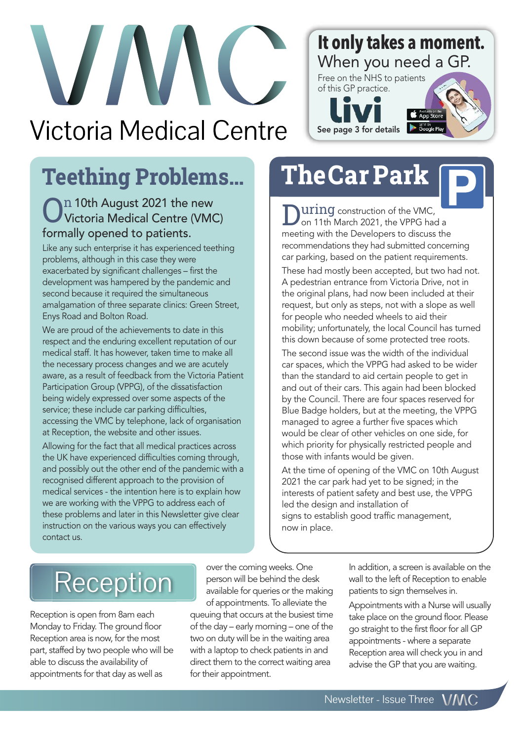# **VIV Victoria Medical Centre**

#### **It only takes a moment.** When you need a GP.

Free on the NHS to patients of this GP practice. **C** App Sto Google P See page 3 for details



# **Teething Problems…**

#### In 10th August 2021 the new Victoria Medical Centre (VMC) formally opened to patients.

Like any such enterprise it has experienced teething problems, although in this case they were exacerbated by significant challenges – first the development was hampered by the pandemic and second because it required the simultaneous amalgamation of three separate clinics: Green Street, Enys Road and Bolton Road.

We are proud of the achievements to date in this respect and the enduring excellent reputation of our medical staff. It has however, taken time to make all the necessary process changes and we are acutely aware, as a result of feedback from the Victoria Patient Participation Group (VPPG), of the dissatisfaction being widely expressed over some aspects of the service; these include car parking difficulties, accessing the VMC by telephone, lack of organisation at Reception, the website and other issues.

Allowing for the fact that all medical practices across the UK have experienced difficulties coming through, and possibly out the other end of the pandemic with a recognised different approach to the provision of medical services - the intention here is to explain how we are working with the VPPG to address each of these problems and later in this Newsletter give clear instruction on the various ways you can effectively contact us.

# **TheCar Park**

**UIING** construction of the VMC, on 11th March 2021, the VPPG had a meeting with the Developers to discuss the recommendations they had submitted concerning car parking, based on the patient requirements.

These had mostly been accepted, but two had not. A pedestrian entrance from Victoria Drive, not in the original plans, had now been included at their request, but only as steps, not with a slope as well for people who needed wheels to aid their mobility; unfortunately, the local Council has turned this down because of some protected tree roots.

The second issue was the width of the individual car spaces, which the VPPG had asked to be wider than the standard to aid certain people to get in and out of their cars. This again had been blocked by the Council. There are four spaces reserved for Blue Badge holders, but at the meeting, the VPPG managed to agree a further five spaces which would be clear of other vehicles on one side, for which priority for physically restricted people and those with infants would be given.

At the time of opening of the VMC on 10th August 2021 the car park had yet to be signed; in the interests of patient safety and best use, the VPPG led the design and installation of signs to establish good traffic management, now in place.

# Reception

Reception is open from 8am each Monday to Friday. The ground floor Reception area is now, for the most part, staffed by two people who will be able to discuss the availability of appointments for that day as well as

over the coming weeks. One person will be behind the desk available for queries or the making of appointments. To alleviate the queuing that occurs at the busiest time of the day – early morning – one of the two on duty will be in the waiting area with a laptop to check patients in and direct them to the correct waiting area for their appointment.

In addition, a screen is available on the wall to the left of Reception to enable patients to sign themselves in.

Appointments with a Nurse will usually take place on the ground floor. Please go straight to the first floor for all GP appointments - where a separate Reception area will check you in and advise the GP that you are waiting.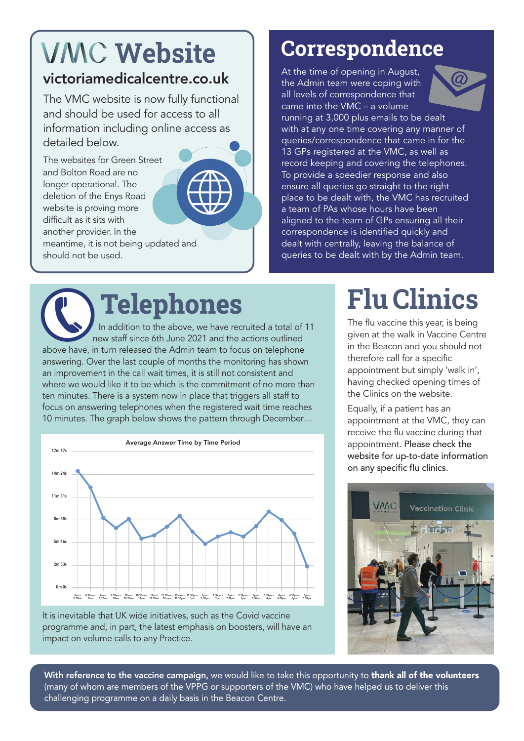# **VMC** Website

#### victoriamedicalcentre.co.uk

The VMC website is now fully functional and should be used for access to all information including online access as detailed below.

The websites for Green Street and Bolton Road are no longer operational. The deletion of the Enys Road website is proving more difficult as it sits with another provider. In the meantime, it is not being updated and should not be used.

## **Correspondence**

At the time of opening in August, the Admin team were coping with all levels of correspondence that came into the VMC – a volume



running at 3,000 plus emails to be dealt with at any one time covering any manner of queries/correspondence that came in for the 13 GPs registered at the VMC, as well as record keeping and covering the telephones. To provide a speedier response and also ensure all queries go straight to the right place to be dealt with, the VMC has recruited a team of PAs whose hours have been aligned to the team of GPs ensuring all their correspondence is identified quickly and dealt with centrally, leaving the balance of queries to be dealt with by the Admin team.

**Telephones** In addition to the above, we have recruited a total of 11 new staff since 6th June 2021 and the actions outlined above have, in turn released the Admin team to focus on telephone answering. Over the last couple of months the monitoring has shown an improvement in the call wait times, it is still not consistent and where we would like it to be which is the commitment of no more than ten minutes. There is a system now in place that triggers all staff to focus on answering telephones when the registered wait time reaches 10 minutes. The graph below shows the pattern through December…



It is inevitable that UK wide initiatives, such as the Covid vaccine programme and, in part, the latest emphasis on boosters, will have an impact on volume calls to any Practice.

# **Flu Clinics**

The flu vaccine this year, is being given at the walk in Vaccine Centre in the Beacon and you should not therefore call for a specific appointment but simply 'walk in', having checked opening times of the Clinics on the website.

Equally, if a patient has an appointment at the VMC, they can receive the flu vaccine during that appointment. Please check the website for up-to-date information on any specific flu clinics.



With reference to the vaccine campaign, we would like to take this opportunity to thank all of the volunteers (many of whom are members of the VPPG or supporters of the VMC) who have helped us to deliver this challenging programme on a daily basis in the Beacon Centre.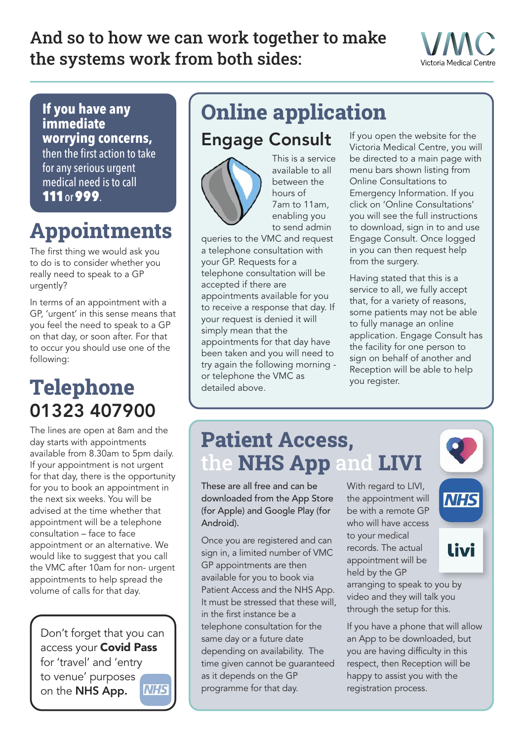## And so to how we can work together to make the systems work from both sides:



**If you have any immediate worrying concerns,** then the first action to take for anyserious urgent medical need is to call 111or999.

# **Appointments**

The first thing we would ask you to do is to consider whether you really need to speak to a GP urgently?

In terms of an appointment with a GP, 'urgent' in this sense means that you feel the need to speak to a GP on that day, or soon after. For that to occur you should use one of the following:

## **Telephone** 01323 407900

The lines are open at 8am and the day starts with appointments available from 8.30am to 5pm daily. If your appointment is not urgent for that day, there is the opportunity for you to book an appointment in the next six weeks. You will be advised at the time whether that appointment will be a telephone consultation – face to face appointment or an alternative. We would like to suggest that you call the VMC after 10am for non- urgent appointments to help spread the volume of calls for that day.

Don't forget that you can access your Covid Pass for 'travel' and 'entry to venue' purposes on the NHS App.



# **Online application**

### Engage Consult



This is a service available to all between the hours of 7am to 11am, enabling you to send admin

queries to the VMC and request a telephone consultation with your GP. Requests for a telephone consultation will be accepted if there are appointments available for you to receive a response that day. If your request is denied it will simply mean that the appointments for that day have been taken and you will need to try again the following morning or telephone the VMC as detailed above.

If you open the website for the Victoria Medical Centre, you will be directed to a main page with menu bars shown listing from Online Consultations to Emergency Information. If you click on 'Online Consultations' you will see the full instructions to download, sign in to and use Engage Consult. Once logged in you can then request help from the surgery.

Having stated that this is a service to all, we fully accept that, for a variety of reasons, some patients may not be able to fully manage an online application. Engage Consult has the facility for one person to sign on behalf of another and Reception will be able to help you register.

## **Patient Access,** the **NHS App** and **LIVI**

These are all free and can be downloaded from the App Store (for Apple) and Google Play (for Android).

Once you are registered and can sign in, a limited number of VMC GP appointments are then available for you to book via Patient Access and the NHS App. It must be stressed that these will, in the first instance be a telephone consultation for the same day or a future date depending on availability. The time given cannot be guaranteed as it depends on the GP programme for that day.

With regard to LIVI, the appointment will be with a remote GP who will have access to your medical records. The actual appointment will be held by the GP

arranging to speak to you by video and they will talk you through the setup for this.

If you have a phone that will allow an App to be downloaded, but you are having difficulty in this respect, then Reception will be happy to assist you with the registration process.